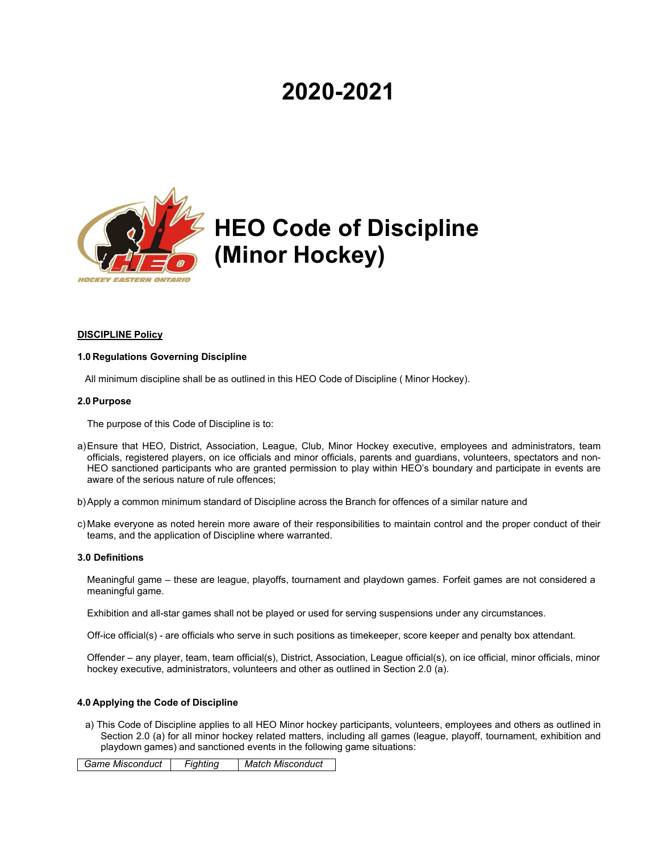# **2020-2021**



# **HEO Code of Discipline (Minor Hockey)**

# **DISCIPLINE Policy**

#### **1.0 Regulations Governing Discipline**

All minimum discipline shall be as outlined in this HEO Code of Discipline ( Minor Hockey).

#### **2.0 Purpose**

The purpose of this Code of Discipline is to:

- a)Ensure that HEO, District, Association, League, Club, Minor Hockey executive, employees and administrators, team officials, registered players, on ice officials and minor officials, parents and guardians, volunteers, spectators and non-HEO sanctioned participants who are granted permission to play within HEO's boundary and participate in events are aware of the serious nature of rule offences;
- b)Apply a common minimum standard of Discipline across the Branch for offences of a similar nature and
- c) Make everyone as noted herein more aware of their responsibilities to maintain control and the proper conduct of their teams, and the application of Discipline where warranted.

### **3.0 Definitions**

Meaningful game – these are league, playoffs, tournament and playdown games. Forfeit games are not considered a meaningful game.

Exhibition and all-star games shall not be played or used for serving suspensions under any circumstances.

Off-ice official(s) - are officials who serve in such positions as timekeeper, score keeper and penalty box attendant.

Offender – any player, team, team official(s), District, Association, League official(s), on ice official, minor officials, minor hockey executive, administrators, volunteers and other as outlined in Section 2.0 (a).

# **4.0 Applying the Code of Discipline**

a) This Code of Discipline applies to all HEO Minor hockey participants, volunteers, employees and others as outlined in Section 2.0 (a) for all minor hockey related matters, including all games (league, playoff, tournament, exhibition and playdown games) and sanctioned events in the following game situations:

*Game Misconduct Fighting Match Misconduct*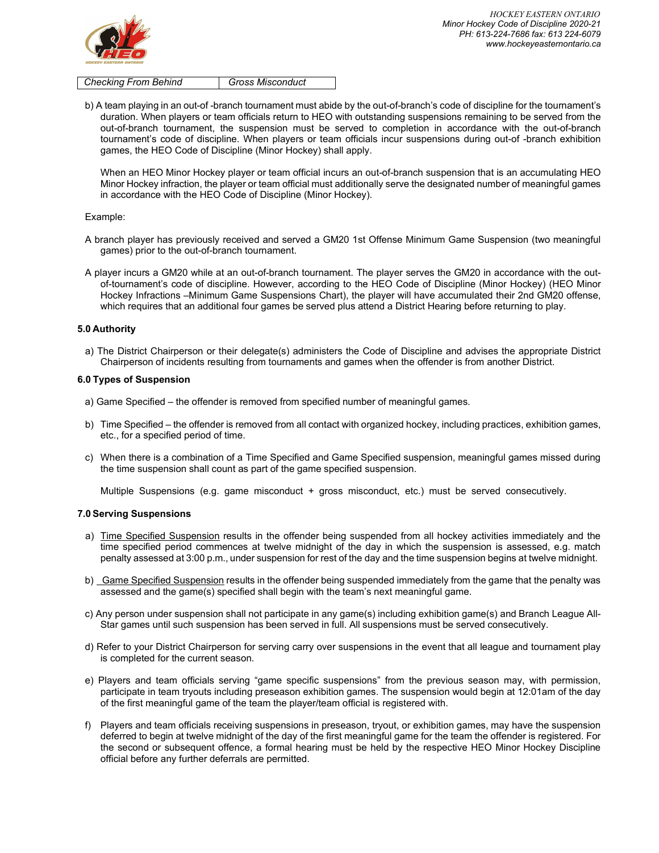

*Checking From Behind Gross Misconduct*

b) A team playing in an out-of -branch tournament must abide by the out-of-branch's code of discipline for the tournament's duration. When players or team officials return to HEO with outstanding suspensions remaining to be served from the out-of-branch tournament, the suspension must be served to completion in accordance with the out-of-branch tournament's code of discipline. When players or team officials incur suspensions during out-of -branch exhibition games, the HEO Code of Discipline (Minor Hockey) shall apply.

When an HEO Minor Hockey player or team official incurs an out-of-branch suspension that is an accumulating HEO Minor Hockey infraction, the player or team official must additionally serve the designated number of meaningful games in accordance with the HEO Code of Discipline (Minor Hockey).

#### Example:

- A branch player has previously received and served a GM20 1st Offense Minimum Game Suspension (two meaningful games) prior to the out-of-branch tournament.
- A player incurs a GM20 while at an out-of-branch tournament. The player serves the GM20 in accordance with the outof-tournament's code of discipline. However, according to the HEO Code of Discipline (Minor Hockey) (HEO Minor Hockey Infractions –Minimum Game Suspensions Chart), the player will have accumulated their 2nd GM20 offense, which requires that an additional four games be served plus attend a District Hearing before returning to play.

# **5.0 Authority**

a) The District Chairperson or their delegate(s) administers the Code of Discipline and advises the appropriate District Chairperson of incidents resulting from tournaments and games when the offender is from another District.

## **6.0 Types of Suspension**

- a) Game Specified the offender is removed from specified number of meaningful games.
- b) Time Specified the offender is removed from all contact with organized hockey, including practices, exhibition games, etc., for a specified period of time.
- c) When there is a combination of a Time Specified and Game Specified suspension, meaningful games missed during the time suspension shall count as part of the game specified suspension.

Multiple Suspensions (e.g. game misconduct + gross misconduct, etc.) must be served consecutively.

#### **7.0 Serving Suspensions**

- a) Time Specified Suspension results in the offender being suspended from all hockey activities immediately and the time specified period commences at twelve midnight of the day in which the suspension is assessed, e.g. match penalty assessed at 3:00 p.m., under suspension for rest of the day and the time suspension begins at twelve midnight.
- b) Game Specified Suspension results in the offender being suspended immediately from the game that the penalty was assessed and the game(s) specified shall begin with the team's next meaningful game.
- c) Any person under suspension shall not participate in any game(s) including exhibition game(s) and Branch League All-Star games until such suspension has been served in full. All suspensions must be served consecutively.
- d) Refer to your District Chairperson for serving carry over suspensions in the event that all league and tournament play is completed for the current season.
- e) Players and team officials serving "game specific suspensions" from the previous season may, with permission, participate in team tryouts including preseason exhibition games. The suspension would begin at 12:01am of the day of the first meaningful game of the team the player/team official is registered with.
- f) Players and team officials receiving suspensions in preseason, tryout, or exhibition games, may have the suspension deferred to begin at twelve midnight of the day of the first meaningful game for the team the offender is registered. For the second or subsequent offence, a formal hearing must be held by the respective HEO Minor Hockey Discipline official before any further deferrals are permitted.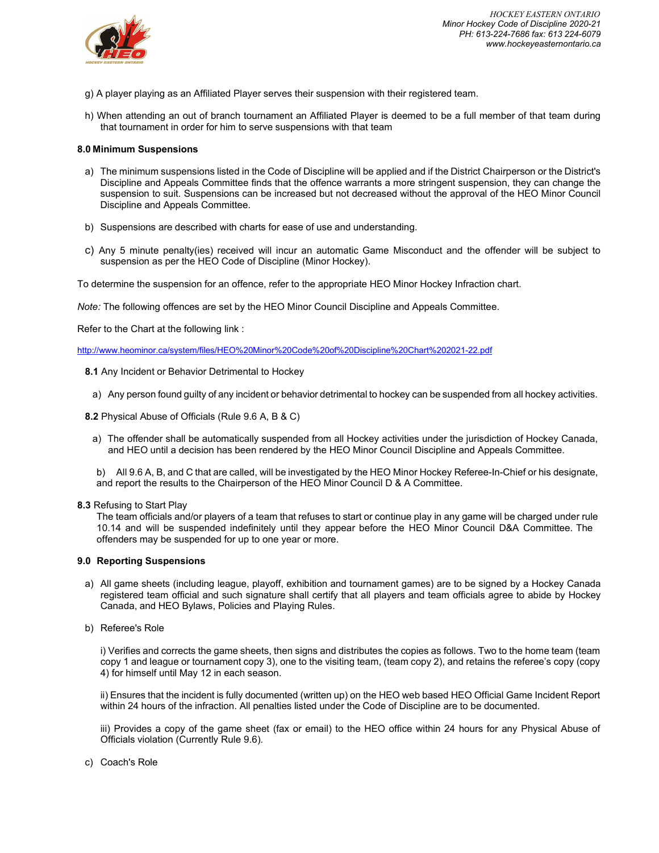

- g) A player playing as an Affiliated Player serves their suspension with their registered team.
- h) When attending an out of branch tournament an Affiliated Player is deemed to be a full member of that team during that tournament in order for him to serve suspensions with that team

# **8.0 Minimum Suspensions**

- a) The minimum suspensions listed in the Code of Discipline will be applied and if the District Chairperson or the District's Discipline and Appeals Committee finds that the offence warrants a more stringent suspension, they can change the suspension to suit. Suspensions can be increased but not decreased without the approval of the HEO Minor Council Discipline and Appeals Committee.
- b) Suspensions are described with charts for ease of use and understanding.
- c) Any 5 minute penalty(ies) received will incur an automatic Game Misconduct and the offender will be subject to suspension as per the HEO Code of Discipline (Minor Hockey).

To determine the suspension for an offence, refer to the appropriate HEO Minor Hockey Infraction chart.

*Note:* The following offences are set by the HEO Minor Council Discipline and Appeals Committee.

Refer to the Chart at the following link :

<http://www.heominor.ca/system/files/HEO%20Minor%20Code%20of%20Discipline%20Chart%202021-22.pdf>

- **8.1** Any Incident or Behavior Detrimental to Hockey
	- a) Any person found guilty of any incident or behavior detrimental to hockey can be suspended from all hockey activities.
- **8.2** Physical Abuse of Officials (Rule 9.6 A, B & C)
	- a) The offender shall be automatically suspended from all Hockey activities under the jurisdiction of Hockey Canada, and HEO until a decision has been rendered by the HEO Minor Council Discipline and Appeals Committee.

b) All 9.6 A, B, and C that are called, will be investigated by the HEO Minor Hockey Referee-In-Chief or his designate, and report the results to the Chairperson of the HEO Minor Council D & A Committee.

**8.3** Refusing to Start Play

The team officials and/or players of a team that refuses to start or continue play in any game will be charged under rule 10.14 and will be suspended indefinitely until they appear before the HEO Minor Council D&A Committee. The offenders may be suspended for up to one year or more.

## **9.0 Reporting Suspensions**

- a) All game sheets (including league, playoff, exhibition and tournament games) are to be signed by a Hockey Canada registered team official and such signature shall certify that all players and team officials agree to abide by Hockey Canada, and HEO Bylaws, Policies and Playing Rules.
- b) Referee's Role

i) Verifies and corrects the game sheets, then signs and distributes the copies as follows. Two to the home team (team copy 1 and league or tournament copy 3), one to the visiting team, (team copy 2), and retains the referee's copy (copy 4) for himself until May 12 in each season.

ii) Ensures that the incident is fully documented (written up) on the HEO web based HEO Official Game Incident Report within 24 hours of the infraction. All penalties listed under the Code of Discipline are to be documented.

iii) Provides a copy of the game sheet (fax or email) to the HEO office within 24 hours for any Physical Abuse of Officials violation (Currently Rule 9.6).

c) Coach's Role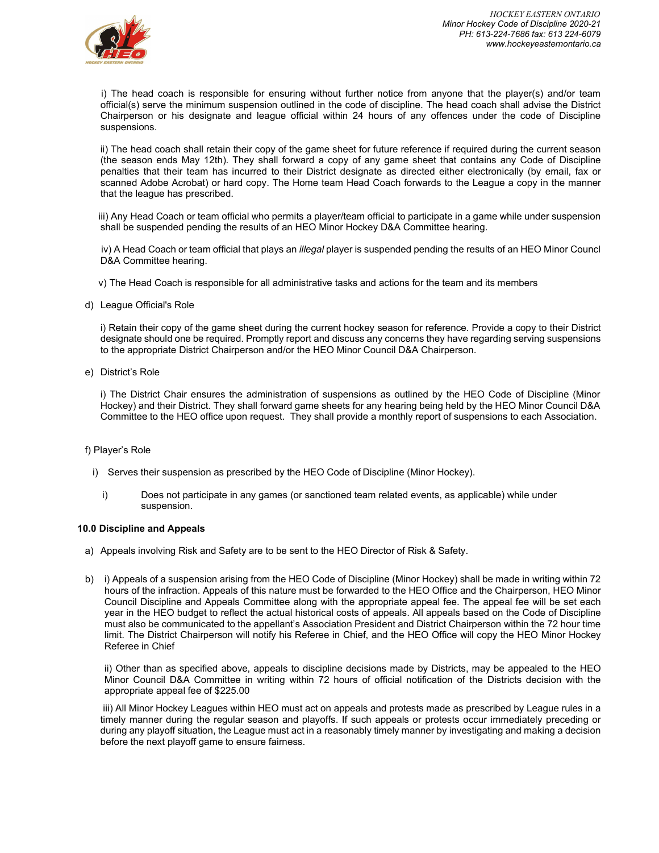

i) The head coach is responsible for ensuring without further notice from anyone that the player(s) and/or team official(s) serve the minimum suspension outlined in the code of discipline. The head coach shall advise the District Chairperson or his designate and league official within 24 hours of any offences under the code of Discipline suspensions.

ii) The head coach shall retain their copy of the game sheet for future reference if required during the current season (the season ends May 12th). They shall forward a copy of any game sheet that contains any Code of Discipline penalties that their team has incurred to their District designate as directed either electronically (by email, fax or scanned Adobe Acrobat) or hard copy. The Home team Head Coach forwards to the League a copy in the manner that the league has prescribed.

iii) Any Head Coach or team official who permits a player/team official to participate in a game while under suspension shall be suspended pending the results of an HEO Minor Hockey D&A Committee hearing.

iv) A Head Coach or team official that plays an *illegal* player is suspended pending the results of an HEO Minor Councl D&A Committee hearing.

v) The Head Coach is responsible for all administrative tasks and actions for the team and its members

d) League Official's Role

i) Retain their copy of the game sheet during the current hockey season for reference. Provide a copy to their District designate should one be required. Promptly report and discuss any concerns they have regarding serving suspensions to the appropriate District Chairperson and/or the HEO Minor Council D&A Chairperson.

e) District's Role

i) The District Chair ensures the administration of suspensions as outlined by the HEO Code of Discipline (Minor Hockey) and their District. They shall forward game sheets for any hearing being held by the HEO Minor Council D&A Committee to the HEO office upon request. They shall provide a monthly report of suspensions to each Association.

# f) Player's Role

- i) Serves their suspension as prescribed by the HEO Code of Discipline (Minor Hockey).
	- i) Does not participate in any games (or sanctioned team related events, as applicable) while under suspension.

#### **10.0 Discipline and Appeals**

- a) Appeals involving Risk and Safety are to be sent to the HEO Director of Risk & Safety.
- b) i) Appeals of a suspension arising from the HEO Code of Discipline (Minor Hockey) shall be made in writing within 72 hours of the infraction. Appeals of this nature must be forwarded to the HEO Office and the Chairperson, HEO Minor Council Discipline and Appeals Committee along with the appropriate appeal fee. The appeal fee will be set each year in the HEO budget to reflect the actual historical costs of appeals. All appeals based on the Code of Discipline must also be communicated to the appellant's Association President and District Chairperson within the 72 hour time limit. The District Chairperson will notify his Referee in Chief, and the HEO Office will copy the HEO Minor Hockey Referee in Chief

ii) Other than as specified above, appeals to discipline decisions made by Districts, may be appealed to the HEO Minor Council D&A Committee in writing within 72 hours of official notification of the Districts decision with the appropriate appeal fee of \$225.00

iii) All Minor Hockey Leagues within HEO must act on appeals and protests made as prescribed by League rules in a timely manner during the regular season and playoffs. If such appeals or protests occur immediately preceding or during any playoff situation, the League must act in a reasonably timely manner by investigating and making a decision before the next playoff game to ensure fairness.